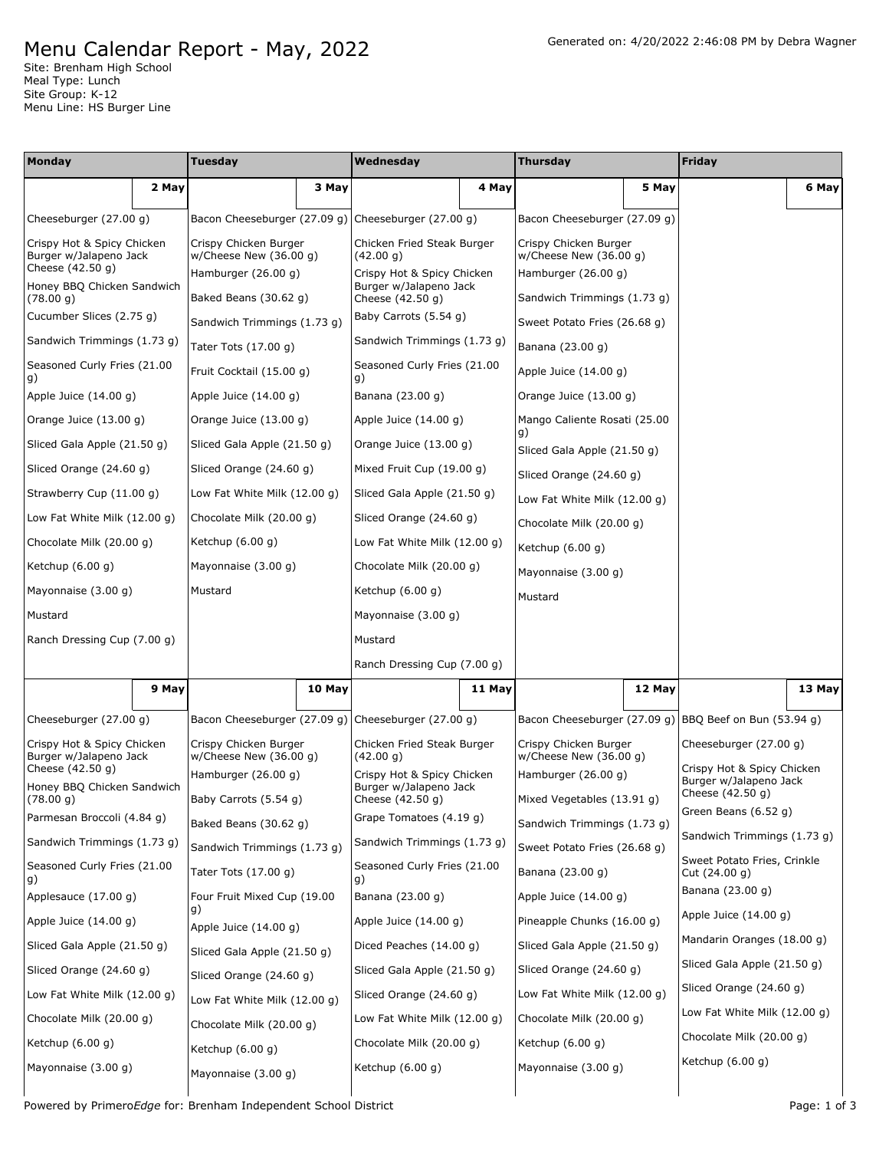## Menu Calendar Report - May, 2022

Site: Brenham High School Meal Type: Lunch Site Group: K-12 Menu Line: HS Burger Line

| <b>Monday</b>                                        |       | <b>Tuesday</b>                                     |        | Wednesday                                            |        | <b>Thursday</b>                                   |        | <b>Friday</b>                                        |        |
|------------------------------------------------------|-------|----------------------------------------------------|--------|------------------------------------------------------|--------|---------------------------------------------------|--------|------------------------------------------------------|--------|
|                                                      | 2 May |                                                    | 3 May  |                                                      | 4 May  |                                                   | 5 May  |                                                      | 6 May  |
| Cheeseburger (27.00 g)                               |       |                                                    |        | Bacon Cheeseburger (27.09 g) Cheeseburger (27.00 g)  |        | Bacon Cheeseburger (27.09 g)                      |        |                                                      |        |
| Crispy Hot & Spicy Chicken<br>Burger w/Jalapeno Jack |       | Crispy Chicken Burger<br>$w/$ Cheese New (36.00 g) |        | Chicken Fried Steak Burger<br>(42.00 g)              |        | Crispy Chicken Burger<br>w/Cheese New $(36.00 g)$ |        |                                                      |        |
| Cheese (42.50 g)                                     |       | Hamburger (26.00 g)                                |        | Crispy Hot & Spicy Chicken                           |        | Hamburger (26.00 g)                               |        |                                                      |        |
| Honey BBQ Chicken Sandwich<br>(78.00 g)              |       | Baked Beans (30.62 g)                              |        | Burger w/Jalapeno Jack<br>Cheese (42.50 g)           |        | Sandwich Trimmings (1.73 g)                       |        |                                                      |        |
| Cucumber Slices (2.75 g)                             |       | Sandwich Trimmings (1.73 g)                        |        | Baby Carrots (5.54 g)                                |        | Sweet Potato Fries (26.68 g)                      |        |                                                      |        |
| Sandwich Trimmings (1.73 g)                          |       | Tater Tots (17.00 g)                               |        | Sandwich Trimmings (1.73 g)                          |        | Banana (23.00 g)                                  |        |                                                      |        |
| Seasoned Curly Fries (21.00<br>g)                    |       | Fruit Cocktail (15.00 g)                           |        | Seasoned Curly Fries (21.00<br>g)                    |        | Apple Juice $(14.00 g)$                           |        |                                                      |        |
| Apple Juice $(14.00 g)$                              |       | Apple Juice $(14.00 g)$                            |        | Banana (23.00 g)                                     |        | Orange Juice (13.00 g)                            |        |                                                      |        |
| Orange Juice $(13.00 g)$                             |       | Orange Juice (13.00 g)                             |        | Apple Juice (14.00 g)                                |        | Mango Caliente Rosati (25.00<br>g)                |        |                                                      |        |
| Sliced Gala Apple (21.50 g)                          |       | Sliced Gala Apple (21.50 g)                        |        | Orange Juice (13.00 g)                               |        | Sliced Gala Apple (21.50 g)                       |        |                                                      |        |
| Sliced Orange (24.60 g)                              |       | Sliced Orange (24.60 g)                            |        | Mixed Fruit Cup (19.00 g)                            |        | Sliced Orange (24.60 g)                           |        |                                                      |        |
| Strawberry Cup (11.00 g)                             |       | Low Fat White Milk (12.00 g)                       |        | Sliced Gala Apple (21.50 g)                          |        | Low Fat White Milk (12.00 g)                      |        |                                                      |        |
| Low Fat White Milk $(12.00 g)$                       |       | Chocolate Milk (20.00 g)                           |        | Sliced Orange (24.60 g)                              |        | Chocolate Milk (20.00 g)                          |        |                                                      |        |
| Chocolate Milk (20.00 g)                             |       | Ketchup (6.00 g)                                   |        | Low Fat White Milk (12.00 g)                         |        | Ketchup $(6.00 g)$                                |        |                                                      |        |
| Ketchup $(6.00 g)$                                   |       | Mayonnaise (3.00 g)                                |        | Chocolate Milk (20.00 g)                             |        | Mayonnaise (3.00 g)                               |        |                                                      |        |
| Mayonnaise (3.00 g)                                  |       | Mustard                                            |        | Ketchup $(6.00 g)$                                   |        | Mustard                                           |        |                                                      |        |
| Mustard                                              |       |                                                    |        | Mayonnaise (3.00 g)                                  |        |                                                   |        |                                                      |        |
| Ranch Dressing Cup (7.00 g)                          |       |                                                    |        | Mustard                                              |        |                                                   |        |                                                      |        |
|                                                      |       |                                                    |        | Ranch Dressing Cup (7.00 g)                          |        |                                                   |        |                                                      |        |
|                                                      | 9 May |                                                    | 10 May |                                                      | 11 May |                                                   | 12 May |                                                      | 13 May |
| Cheeseburger (27.00 g)                               |       |                                                    |        | Bacon Cheeseburger (27.09 g) Cheeseburger (27.00 g)  |        | Bacon Cheeseburger (27.09 g)                      |        | BBQ Beef on Bun (53.94 q)                            |        |
| Crispy Hot & Spicy Chicken<br>Burger w/Jalapeno Jack |       | Crispy Chicken Burger<br>w/Cheese New (36.00 g)    |        | Chicken Fried Steak Burger<br>(42.00 g)              |        | Crispy Chicken Burger<br>w/Cheese New (36.00 g)   |        | Cheeseburger (27.00 g)                               |        |
| Cheese (42.50 g)                                     |       | Hamburger $(26.00 g)$                              |        | Crispy Hot & Spicy Chicken<br>Burger w/Jalapeno Jack |        | Hamburger (26.00 g)                               |        | Crispy Hot & Spicy Chicken<br>Burger w/Jalapeno Jack |        |
| Honey BBQ Chicken Sandwich<br>(78.00 g)              |       | Baby Carrots (5.54 g)                              |        | Cheese (42.50 g)                                     |        | Mixed Vegetables (13.91 g)                        |        | Cheese (42.50 g)<br>Green Beans (6.52 g)             |        |
| Parmesan Broccoli (4.84 g)                           |       | Baked Beans (30.62 g)                              |        | Grape Tomatoes (4.19 g)                              |        | Sandwich Trimmings (1.73 g)                       |        | Sandwich Trimmings (1.73 g)                          |        |
| Sandwich Trimmings (1.73 g)                          |       | Sandwich Trimmings (1.73 g)                        |        | Sandwich Trimmings (1.73 g)                          |        | Sweet Potato Fries (26.68 g)                      |        | Sweet Potato Fries, Crinkle                          |        |
| Seasoned Curly Fries (21.00<br>g)                    |       | Tater Tots (17.00 g)                               |        | Seasoned Curly Fries (21.00<br>g)                    |        | Banana (23.00 g)                                  |        | Cut (24.00 g)                                        |        |
| Applesauce (17.00 g)                                 |       | Four Fruit Mixed Cup (19.00<br>g)                  |        | Banana (23.00 g)                                     |        | Apple Juice $(14.00 g)$                           |        | Banana (23.00 g)                                     |        |
| Apple Juice (14.00 g)                                |       | Apple Juice $(14.00 g)$                            |        | Apple Juice (14.00 g)                                |        | Pineapple Chunks (16.00 g)                        |        | Apple Juice (14.00 g)<br>Mandarin Oranges (18.00 g)  |        |
| Sliced Gala Apple (21.50 g)                          |       | Sliced Gala Apple (21.50 g)                        |        | Diced Peaches (14.00 g)                              |        | Sliced Gala Apple (21.50 g)                       |        | Sliced Gala Apple (21.50 g)                          |        |
| Sliced Orange (24.60 g)                              |       | Sliced Orange (24.60 g)                            |        | Sliced Gala Apple (21.50 g)                          |        | Sliced Orange (24.60 g)                           |        | Sliced Orange (24.60 g)                              |        |
| Low Fat White Milk (12.00 g)                         |       | Low Fat White Milk (12.00 g)                       |        | Sliced Orange (24.60 g)                              |        | Low Fat White Milk (12.00 g)                      |        | Low Fat White Milk (12.00 g)                         |        |
| Chocolate Milk (20.00 g)                             |       | Chocolate Milk (20.00 g)                           |        | Low Fat White Milk (12.00 g)                         |        | Chocolate Milk (20.00 g)                          |        |                                                      |        |
| Ketchup (6.00 g)                                     |       | Ketchup $(6.00 g)$                                 |        | Chocolate Milk (20.00 g)                             |        | Ketchup (6.00 g)                                  |        | Chocolate Milk (20.00 g)                             |        |
| Mayonnaise (3.00 g)                                  |       | Mayonnaise (3.00 g)                                |        | Ketchup (6.00 g)                                     |        | Mayonnaise (3.00 g)                               |        | Ketchup $(6.00 g)$                                   |        |
|                                                      |       |                                                    |        |                                                      |        |                                                   |        |                                                      |        |

Powered by Primero*Edge* for: Brenham Independent School District **Page: 1** of 3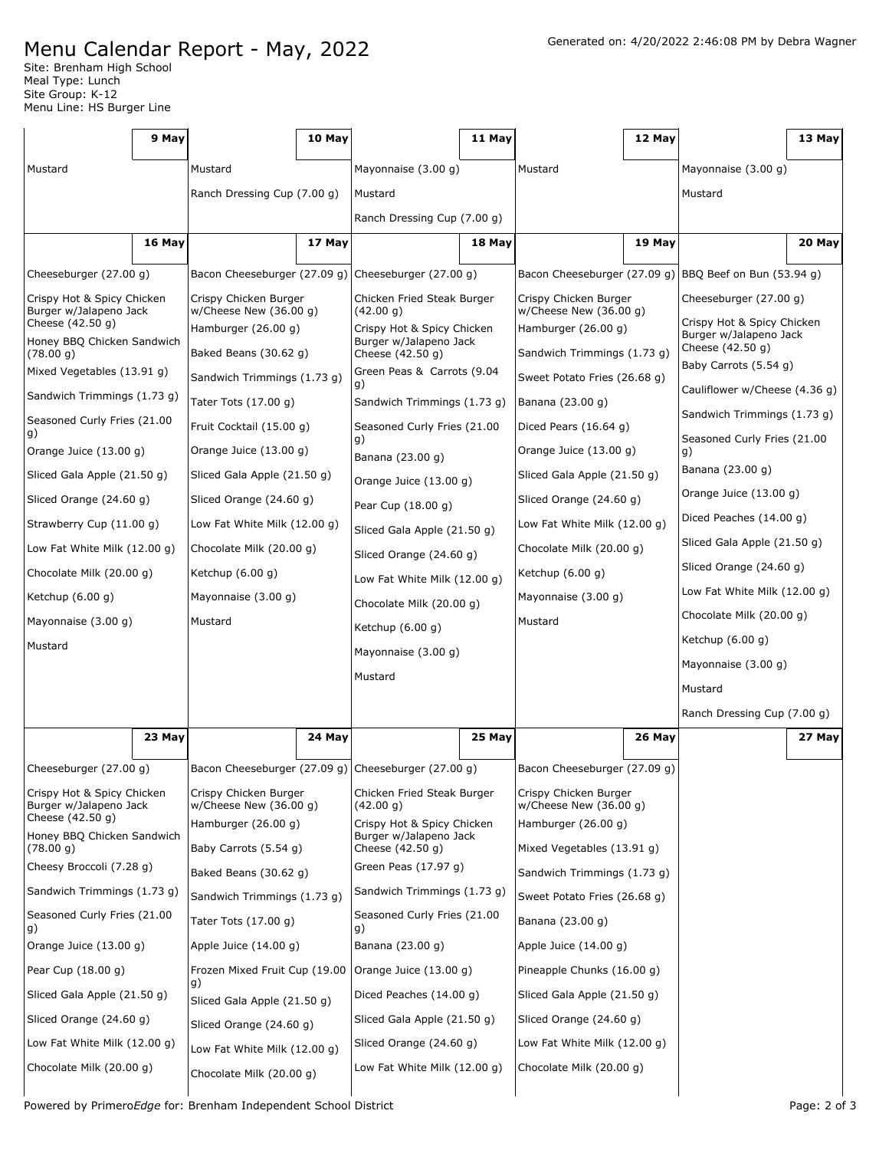## Menu Calendar Report - May, 2022

|                                                                          | 9 May                    |                                                   | 10 May                   |                                                                          | 11 May                                  |                                                    | 12 May                                             |                                                      | 13 May |
|--------------------------------------------------------------------------|--------------------------|---------------------------------------------------|--------------------------|--------------------------------------------------------------------------|-----------------------------------------|----------------------------------------------------|----------------------------------------------------|------------------------------------------------------|--------|
| Mustard                                                                  |                          | Mustard                                           |                          | Mayonnaise $(3.00 g)$                                                    |                                         | Mustard                                            |                                                    | Mayonnaise $(3.00 g)$                                |        |
|                                                                          |                          | Ranch Dressing Cup (7.00 g)                       |                          | Mustard                                                                  |                                         |                                                    |                                                    | Mustard                                              |        |
|                                                                          |                          |                                                   |                          | Ranch Dressing Cup (7.00 g)                                              |                                         |                                                    |                                                    |                                                      |        |
|                                                                          | 16 May                   |                                                   | 17 May                   |                                                                          | 18 May                                  |                                                    | 19 May                                             |                                                      | 20 May |
| Cheeseburger (27.00 g)                                                   |                          |                                                   |                          | Bacon Cheeseburger (27.09 g) Cheeseburger (27.00 g)                      |                                         | Bacon Cheeseburger (27.09 g)                       |                                                    | BBQ Beef on Bun (53.94 g)                            |        |
| Crispy Hot & Spicy Chicken<br>Burger w/Jalapeno Jack<br>Cheese (42.50 g) |                          | Crispy Chicken Burger<br>w/Cheese New $(36.00 g)$ |                          | Chicken Fried Steak Burger<br>(42.00 g)                                  |                                         | Crispy Chicken Burger<br>$w$ /Cheese New (36.00 q) |                                                    | Cheeseburger (27.00 g)<br>Crispy Hot & Spicy Chicken |        |
| Honey BBQ Chicken Sandwich<br>(78.00 g)                                  |                          | Hamburger (26.00 g)<br>Baked Beans (30.62 g)      |                          | Crispy Hot & Spicy Chicken<br>Burger w/Jalapeno Jack<br>Cheese (42.50 g) |                                         | Hamburger (26.00 g)<br>Sandwich Trimmings (1.73 g) |                                                    | Burger w/Jalapeno Jack<br>Cheese (42.50 g)           |        |
| Mixed Vegetables (13.91 g)                                               |                          | Sandwich Trimmings (1.73 g)                       |                          | Green Peas & Carrots (9.04                                               |                                         | Sweet Potato Fries (26.68 g)                       |                                                    | Baby Carrots (5.54 g)                                |        |
| Sandwich Trimmings (1.73 g)                                              |                          | Tater Tots (17.00 g)                              |                          | g)<br>Sandwich Trimmings (1.73 g)                                        |                                         | Banana (23.00 g)                                   |                                                    | Cauliflower w/Cheese (4.36 g)                        |        |
| Seasoned Curly Fries (21.00                                              |                          | Fruit Cocktail (15.00 q)                          |                          | Seasoned Curly Fries (21.00                                              |                                         | Diced Pears $(16.64 g)$                            |                                                    | Sandwich Trimmings (1.73 g)                          |        |
| g)                                                                       | Orange Juice $(13.00 g)$ |                                                   | Orange Juice $(13.00 g)$ | g)<br>Banana (23.00 g)                                                   |                                         | Orange Juice (13.00 g)                             |                                                    | Seasoned Curly Fries (21.00<br>g)                    |        |
| Sliced Gala Apple (21.50 g)                                              |                          | Sliced Gala Apple (21.50 g)                       |                          | Orange Juice (13.00 g)                                                   |                                         | Sliced Gala Apple (21.50 g)                        |                                                    | Banana (23.00 g)                                     |        |
| Sliced Orange (24.60 g)                                                  |                          | Sliced Orange (24.60 g)                           |                          | Pear Cup (18.00 g)                                                       |                                         | Sliced Orange (24.60 g)                            |                                                    | Orange Juice (13.00 g)                               |        |
| Strawberry Cup (11.00 g)                                                 |                          | Low Fat White Milk (12.00 g)                      |                          | Sliced Gala Apple (21.50 g)                                              |                                         | Low Fat White Milk $(12.00 g)$                     |                                                    | Diced Peaches (14.00 g)                              |        |
| Low Fat White Milk (12.00 g)                                             |                          | Chocolate Milk (20.00 g)                          |                          | Sliced Orange (24.60 g)                                                  |                                         | Chocolate Milk (20.00 g)                           |                                                    | Sliced Gala Apple (21.50 g)                          |        |
| Chocolate Milk (20.00 g)                                                 |                          | Ketchup $(6.00 g)$                                |                          | Low Fat White Milk (12.00 g)                                             |                                         | Ketchup $(6.00 g)$                                 |                                                    | Sliced Orange (24.60 g)                              |        |
| Ketchup (6.00 g)                                                         |                          | Mayonnaise $(3.00 g)$                             |                          | Chocolate Milk (20.00 g)                                                 |                                         | Mayonnaise (3.00 g)                                |                                                    | Low Fat White Milk (12.00 g)                         |        |
| Mayonnaise (3.00 g)                                                      |                          | Mustard                                           |                          | Ketchup (6.00 g)                                                         |                                         | Mustard                                            |                                                    | Chocolate Milk (20.00 g)                             |        |
| Mustard                                                                  |                          |                                                   |                          | Mayonnaise $(3.00 g)$                                                    |                                         |                                                    |                                                    | Ketchup (6.00 g)                                     |        |
|                                                                          |                          |                                                   |                          | Mustard                                                                  |                                         |                                                    |                                                    | Mayonnaise (3.00 g)                                  |        |
|                                                                          |                          |                                                   |                          |                                                                          |                                         |                                                    |                                                    | Mustard                                              |        |
|                                                                          |                          |                                                   |                          |                                                                          |                                         |                                                    |                                                    | Ranch Dressing Cup (7.00 g)                          |        |
|                                                                          | 23 May                   |                                                   | 24 May                   |                                                                          | 25 May                                  |                                                    | 26 May                                             |                                                      | 27 May |
| Cheeseburger (27.00 g)                                                   |                          |                                                   |                          | Bacon Cheeseburger (27.09 g) Cheeseburger (27.00 g)                      |                                         | Bacon Cheeseburger (27.09 g)                       |                                                    |                                                      |        |
| Crispy Hot & Spicy Chicken<br>Burger w/Jalapeno Jack                     |                          | Crispy Chicken Burger                             | w/Cheese New $(36.00 g)$ |                                                                          | Chicken Fried Steak Burger<br>(42.00 g) |                                                    | Crispy Chicken Burger<br>$w$ /Cheese New (36.00 q) |                                                      |        |
| Cheese (42.50 g)<br>Honey BBQ Chicken Sandwich                           |                          | Hamburger (26.00 g)                               |                          | Crispy Hot & Spicy Chicken<br>Burger w/Jalapeno Jack                     |                                         | Hamburger (26.00 g)                                |                                                    |                                                      |        |
| (78.00 g)                                                                |                          | Baby Carrots (5.54 g)                             |                          | Cheese (42.50 g)                                                         |                                         | Mixed Vegetables (13.91 g)                         |                                                    |                                                      |        |
| Cheesy Broccoli (7.28 g)                                                 |                          | Baked Beans (30.62 g)                             |                          | Green Peas (17.97 g)                                                     |                                         | Sandwich Trimmings (1.73 g)                        |                                                    |                                                      |        |
| Sandwich Trimmings (1.73 g)                                              |                          | Sandwich Trimmings (1.73 g)                       |                          | Sandwich Trimmings (1.73 g)                                              |                                         | Sweet Potato Fries (26.68 g)                       |                                                    |                                                      |        |
| Seasoned Curly Fries (21.00<br>g)                                        |                          | Tater Tots (17.00 g)                              |                          | Seasoned Curly Fries (21.00<br>g)                                        |                                         | Banana (23.00 g)                                   |                                                    |                                                      |        |
| Orange Juice (13.00 g)                                                   |                          | Apple Juice $(14.00 g)$                           |                          | Banana (23.00 g)                                                         |                                         | Apple Juice $(14.00 g)$                            |                                                    |                                                      |        |
| Pear Cup (18.00 g)                                                       |                          | Frozen Mixed Fruit Cup (19.00<br>g)               |                          | Orange Juice $(13.00 g)$                                                 |                                         | Pineapple Chunks (16.00 g)                         |                                                    |                                                      |        |
| Sliced Gala Apple (21.50 g)                                              |                          | Sliced Gala Apple (21.50 g)                       |                          | Diced Peaches (14.00 g)                                                  |                                         | Sliced Gala Apple (21.50 g)                        |                                                    |                                                      |        |
| Sliced Orange (24.60 g)                                                  |                          | Sliced Orange (24.60 g)                           |                          | Sliced Gala Apple (21.50 g)                                              |                                         | Sliced Orange (24.60 g)                            |                                                    |                                                      |        |
| Low Fat White Milk (12.00 g)                                             |                          | Low Fat White Milk (12.00 g)                      |                          | Sliced Orange (24.60 g)                                                  |                                         | Low Fat White Milk (12.00 g)                       |                                                    |                                                      |        |
| Chocolate Milk (20.00 g)                                                 |                          | Chocolate Milk (20.00 g)                          |                          | Low Fat White Milk (12.00 g)                                             |                                         | Chocolate Milk (20.00 g)                           |                                                    |                                                      |        |
|                                                                          |                          |                                                   |                          |                                                                          |                                         |                                                    |                                                    |                                                      |        |

Powered by Primero*Edge* for: Brenham Independent School District Page: 2 of 3